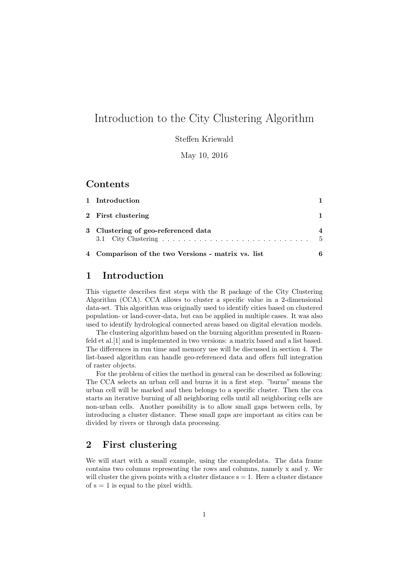# Introduction to the City Clustering Algorithm

Steffen Kriewald

May 10, 2016

## Contents

| 1 Introduction                                     |     |
|----------------------------------------------------|-----|
| 2 First clustering                                 |     |
| 3 Clustering of geo-referenced data                | - 5 |
| 4 Comparison of the two Versions - matrix vs. list | 6   |

### 1 Introduction

This vignette describes first steps with the R package of the City Clustering Algorithm (CCA). CCA allows to cluster a specific value in a 2-dimensional data-set. This algorithm was originally used to identify cities based on clustered population- or land-cover-data, but can be applied in multiple cases. It was also used to identify hydrological connected areas based on digital elevation models.

The clustering algorithm based on the burning algorithm presented in Rozenfeld et al.[1] and is implemented in two versions: a matrix based and a list based. The differences in run time and memory use will be discussed in section 4. The list-based algorithm can handle geo-referenced data and offers full integration of raster objects.

For the problem of cities the method in general can be described as following: The CCA selects an urban cell and burns it in a first step. "burns" means the urban cell will be marked and then belongs to a specific cluster. Then the cca starts an iterative burning of all neighboring cells until all neighboring cells are non-urban cells. Another possibility is to allow small gaps between cells, by introducing a cluster distance. These small gaps are important as cities can be divided by rivers or through data processing.

### 2 First clustering

We will start with a small example, using the exampledata. The data frame contains two columns representing the rows and columns, namely x and y. We will cluster the given points with a cluster distance  $s = 1$ . Here a cluster distance of  $s = 1$  is equal to the pixel width.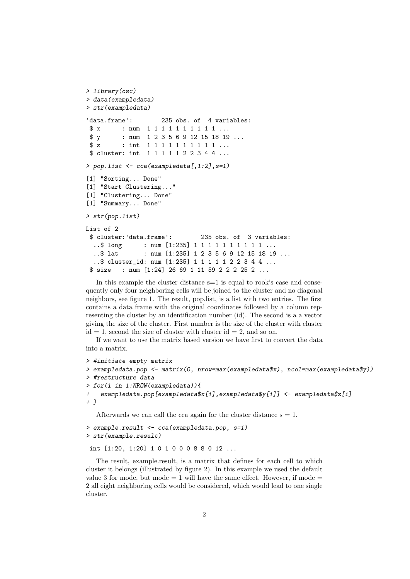```
> library(osc)
> data(exampledata)
> str(exampledata)
'data.frame': 235 obs. of 4 variables:
 $ x : num 1 1 1 1 1 1 1 1 1 1 ...
 $ y : num 1 2 3 5 6 9 12 15 18 19 ...
$ z : int 1 1 1 1 1 1 1 1 1 1 ...
 $ cluster: int 1 1 1 1 1 2 2 3 4 4 ...
> pop.list <- cca(exampledata[,1:2],s=1)
[1] "Sorting... Done"
[1] "Start Clustering..."
[1] "Clustering... Done"
[1] "Summary... Done"
> str(pop.list)
List of 2
 $ cluster:'data.frame': 235 obs. of 3 variables:
  ..$ long : num [1:235] 1 1 1 1 1 1 1 1 1 1 ...
  ..$ lat : num [1:235] 1 2 3 5 6 9 12 15 18 19 ...
  ..$ cluster_id: num [1:235] 1 1 1 1 1 2 2 3 4 4 ...
 $ size : num [1:24] 26 69 1 11 59 2 2 2 25 2 ...
```
In this example the cluster distance s=1 is equal to rook's case and consequently only four neighboring cells will be joined to the cluster and no diagonal neighbors, see figure 1. The result, pop.list, is a list with two entries. The first contains a data frame with the original coordinates followed by a column representing the cluster by an identification number (id). The second is a a vector giving the size of the cluster. First number is the size of the cluster with cluster  $id = 1$ , second the size of cluster with cluster  $id = 2$ , and so on.

If we want to use the matrix based version we have first to convert the data into a matrix.

```
> #initiate empty matrix
> exampledata.pop <- matrix(0, nrow=max(exampledata$x), ncol=max(exampledata$y))
> #restructure data
> for(i in 1:NROW(exampledata)){
+ exampledata.pop[exampledata$x[i],exampledata$y[i]] <- exampledata$z[i]
+ }
   Afterwards we can call the cca again for the cluster distance s = 1.
```

```
> example.result <- cca(exampledata.pop, s=1)
```

```
> str(example.result)
```
int [1:20, 1:20] 1 0 1 0 0 0 8 8 0 12 ...

The result, example.result, is a matrix that defines for each cell to which cluster it belongs (illustrated by figure 2). In this example we used the default value 3 for mode, but mode  $= 1$  will have the same effect. However, if mode  $=$ 2 all eight neighboring cells would be considered, which would lead to one single cluster.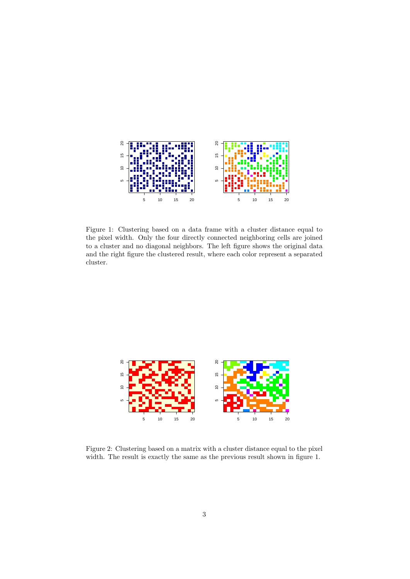

Figure 1: Clustering based on a data frame with a cluster distance equal to the pixel width. Only the four directly connected neighboring cells are joined to a cluster and no diagonal neighbors. The left figure shows the original data and the right figure the clustered result, where each color represent a separated cluster.



Figure 2: Clustering based on a matrix with a cluster distance equal to the pixel width. The result is exactly the same as the previous result shown in figure 1.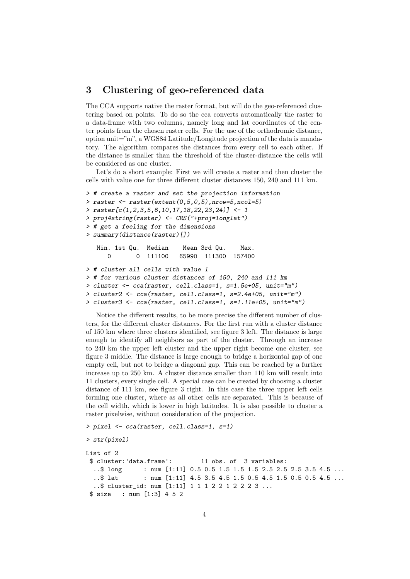## 3 Clustering of geo-referenced data

The CCA supports native the raster format, but will do the geo-referenced clustering based on points. To do so the cca converts automatically the raster to a data-frame with two columns, namely long and lat coordinates of the center points from the chosen raster cells. For the use of the orthodromic distance, option unit="m", a WGS84 Latitude/Longitude projection of the data is mandatory. The algorithm compares the distances from every cell to each other. If the distance is smaller than the threshold of the cluster-distance the cells will be considered as one cluster.

Let's do a short example: First we will create a raster and then cluster the cells with value one for three different cluster distances 150, 240 and 111 km.

```
> # create a raster and set the projection information
> raster \le raster(extent(0,5,0,5), nrow=5, ncol=5)
> raster[c(1,2,3,5,6,10,17,18,22,23,24)] <- 1
> proj4string(raster) <- CRS("+proj=longlat")
> # get a feeling for the dimensions
> summary(distance(raster)[])
  Min. 1st Qu. Median Mean 3rd Qu. Max.
     0 0 111100 65990 111300 157400
> # cluster all cells with value 1
> # for various cluster distances of 150, 240 and 111 km
> cluster <- cca(raster, cell.class=1, s=1.5e+05, unit="m")
> cluster2 <- cca(raster, cell.class=1, s=2.4e+05, unit="m")
> cluster3 <- cca(raster, cell.class=1, s=1.11e+05, unit="m")
```
Notice the different results, to be more precise the different number of clusters, for the different cluster distances. For the first run with a cluster distance of 150 km where three clusters identified, see figure 3 left. The distance is large enough to identify all neighbors as part of the cluster. Through an increase to 240 km the upper left cluster and the upper right become one cluster, see figure 3 middle. The distance is large enough to bridge a horizontal gap of one empty cell, but not to bridge a diagonal gap. This can be reached by a further increase up to 250 km. A cluster distance smaller than 110 km will result into 11 clusters, every single cell. A special case can be created by choosing a cluster distance of 111 km, see figure 3 right. In this case the three upper left cells forming one cluster, where as all other cells are separated. This is because of the cell width, which is lower in high latitudes. It is also possible to cluster a raster pixelwise, without consideration of the projection.

```
> pixel <- cca(raster, cell.class=1, s=1)
```

```
> str(pixel)
List of 2
 $ cluster:'data.frame': 11 obs. of 3 variables:
  ..$ long : num [1:11] 0.5 0.5 1.5 1.5 1.5 2.5 2.5 2.5 3.5 4.5 ...
  ..$ lat : num [1:11] 4.5 3.5 4.5 1.5 0.5 4.5 1.5 0.5 0.5 4.5 ...
  ..$ cluster_id: num [1:11] 1 1 1 2 2 1 2 2 2 3 ...
 $ size : num [1:3] 4 5 2
```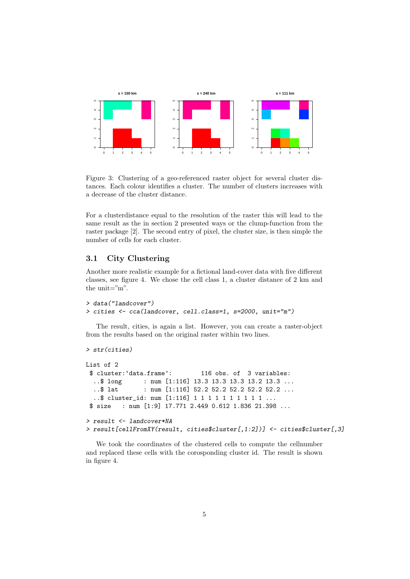

Figure 3: Clustering of a geo-referenced raster object for several cluster distances. Each colour identifies a cluster. The number of clusters increases with a decrease of the cluster distance.

For a clusterdistance equal to the resolution of the raster this will lead to the same result as the in section 2 presented ways or the clump-function from the raster package [2]. The second entry of pixel, the cluster size, is then simple the number of cells for each cluster.

#### 3.1 City Clustering

Another more realistic example for a fictional land-cover data with five different classes, see figure 4. We chose the cell class 1, a cluster distance of 2 km and the unit= $\mathrm{m}$ ".

```
> data("landcover")
> cities <- cca(landcover, cell.class=1, s=2000, unit="m")
```
The result, cities, is again a list. However, you can create a raster-object from the results based on the original raster within two lines.

```
> str(cities)
List of 2
 $ cluster:'data.frame': 116 obs. of 3 variables:
  ..$ long : num [1:116] 13.3 13.3 13.3 13.2 13.3 ...
  ..$ lat : num [1:116] 52.2 52.2 52.2 52.2 52.2 ...
  ..$ cluster_id: num [1:116] 1 1 1 1 1 1 1 1 1 1 ...
$ size : num [1:9] 17.771 2.449 0.612 1.836 21.398 ...
> result <- landcover*NA
> result[cellFromXY(result, cities$cluster[,1:2])] <- cities$cluster[,3]
```
We took the coordinates of the clustered cells to compute the cellnumber and replaced these cells with the corosponding cluster id. The result is shown in figure 4.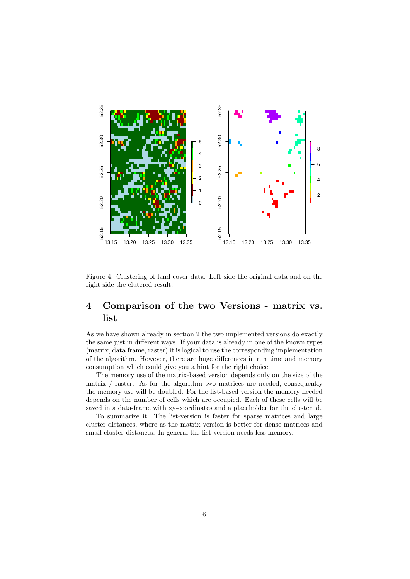

Figure 4: Clustering of land cover data. Left side the original data and on the right side the clutered result.

## 4 Comparison of the two Versions - matrix vs. list

As we have shown already in section 2 the two implemented versions do exactly the same just in different ways. If your data is already in one of the known types (matrix, data.frame, raster) it is logical to use the corresponding implementation of the algorithm. However, there are huge differences in run time and memory consumption which could give you a hint for the right choice.

The memory use of the matrix-based version depends only on the size of the matrix / raster. As for the algorithm two matrices are needed, consequently the memory use will be doubled. For the list-based version the memory needed depends on the number of cells which are occupied. Each of these cells will be saved in a data-frame with xy-coordinates and a placeholder for the cluster id.

To summarize it: The list-version is faster for sparse matrices and large cluster-distances, where as the matrix version is better for dense matrices and small cluster-distances. In general the list version needs less memory.